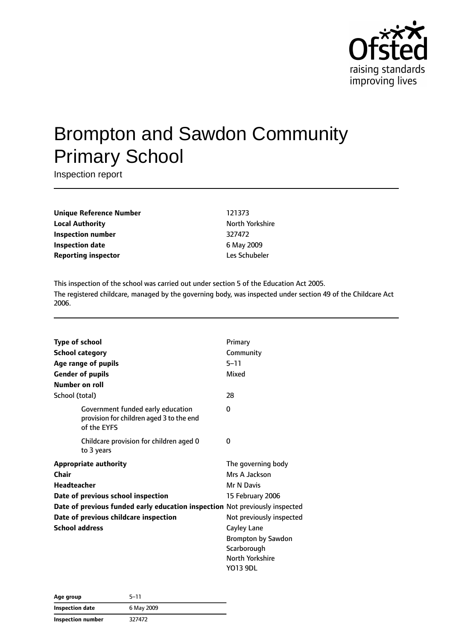

# Brompton and Sawdon Community Primary School

Inspection report

**Unique Reference Number** 121373 **Local Authority North Yorkshire Inspection number** 327472 **Inspection date** 6 May 2009 **Reporting inspector CONFIDENTIAL EXECUTES** Les Schubeler

This inspection of the school was carried out under section 5 of the Education Act 2005. The registered childcare, managed by the governing body, was inspected under section 49 of the Childcare Act 2006.

| <b>Type of school</b>                                                                        | Primary                   |
|----------------------------------------------------------------------------------------------|---------------------------|
| <b>School category</b>                                                                       | Community                 |
| Age range of pupils                                                                          | $5 - 11$                  |
| <b>Gender of pupils</b>                                                                      | Mixed                     |
| Number on roll                                                                               |                           |
| School (total)                                                                               | 28                        |
| Government funded early education<br>provision for children aged 3 to the end<br>of the EYFS | 0                         |
| Childcare provision for children aged 0<br>to 3 years                                        | 0                         |
| <b>Appropriate authority</b>                                                                 | The governing body        |
| Chair                                                                                        | Mrs A Jackson             |
| <b>Headteacher</b>                                                                           | <b>Mr N Davis</b>         |
| Date of previous school inspection                                                           | 15 February 2006          |
| Date of previous funded early education inspection Not previously inspected                  |                           |
| Date of previous childcare inspection                                                        | Not previously inspected  |
| <b>School address</b>                                                                        | <b>Cayley Lane</b>        |
|                                                                                              | <b>Brompton by Sawdon</b> |
|                                                                                              | Scarborough               |
|                                                                                              | North Yorkshire           |
|                                                                                              | YO13 9DL                  |

| Age group                | 5–11       |  |
|--------------------------|------------|--|
| Inspection date          | 6 May 2009 |  |
| <b>Inspection number</b> | 327472     |  |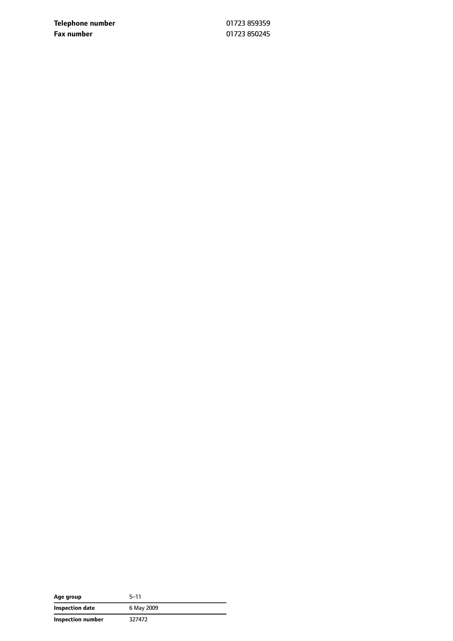**Telephone number** 01723 859359 **Fax number** 01723 850245

| Age group         | 5–11       |
|-------------------|------------|
| Inspection date   | 6 May 2009 |
| Inspection number | 327472     |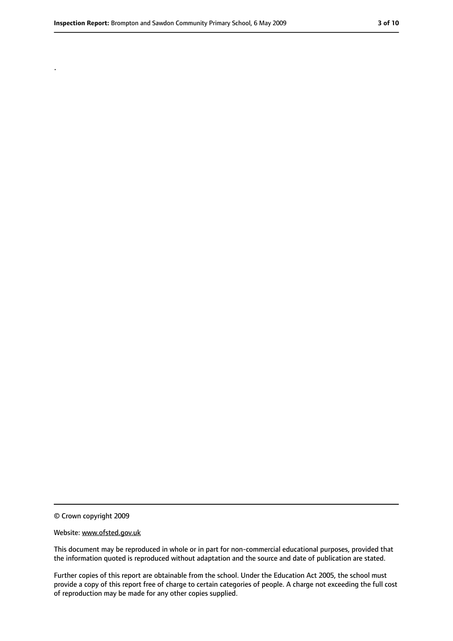.

<sup>©</sup> Crown copyright 2009

Website: www.ofsted.gov.uk

This document may be reproduced in whole or in part for non-commercial educational purposes, provided that the information quoted is reproduced without adaptation and the source and date of publication are stated.

Further copies of this report are obtainable from the school. Under the Education Act 2005, the school must provide a copy of this report free of charge to certain categories of people. A charge not exceeding the full cost of reproduction may be made for any other copies supplied.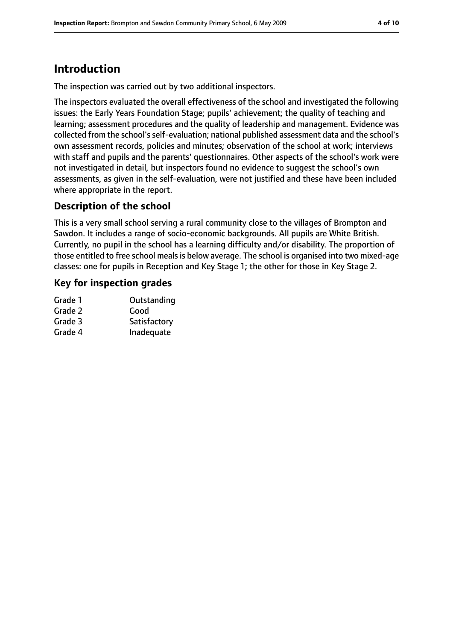# **Introduction**

The inspection was carried out by two additional inspectors.

The inspectors evaluated the overall effectiveness of the school and investigated the following issues: the Early Years Foundation Stage; pupils' achievement; the quality of teaching and learning; assessment procedures and the quality of leadership and management. Evidence was collected from the school's self-evaluation; national published assessment data and the school's own assessment records, policies and minutes; observation of the school at work; interviews with staff and pupils and the parents' questionnaires. Other aspects of the school's work were not investigated in detail, but inspectors found no evidence to suggest the school's own assessments, as given in the self-evaluation, were not justified and these have been included where appropriate in the report.

### **Description of the school**

This is a very small school serving a rural community close to the villages of Brompton and Sawdon. It includes a range of socio-economic backgrounds. All pupils are White British. Currently, no pupil in the school has a learning difficulty and/or disability. The proportion of those entitled to free school mealsis below average. The school is organised into two mixed-age classes: one for pupils in Reception and Key Stage 1; the other for those in Key Stage 2.

### **Key for inspection grades**

| Outstanding  |
|--------------|
| Good         |
| Satisfactory |
| Inadequate   |
|              |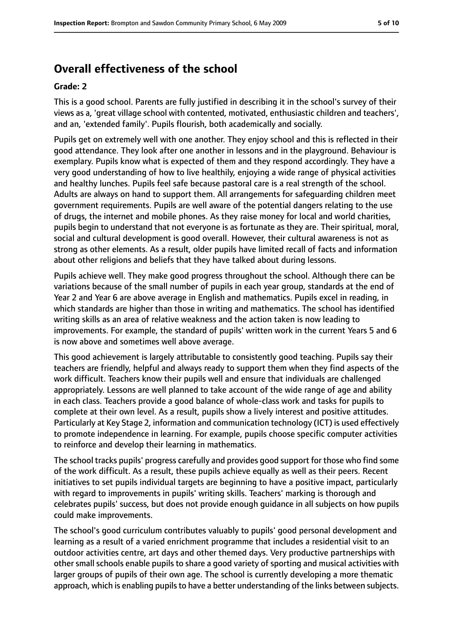### **Overall effectiveness of the school**

#### **Grade: 2**

This is a good school. Parents are fully justified in describing it in the school's survey of their views as a, 'great village school with contented, motivated, enthusiastic children and teachers', and an, 'extended family'. Pupils flourish, both academically and socially.

Pupils get on extremely well with one another. They enjoy school and this is reflected in their good attendance. They look after one another in lessons and in the playground. Behaviour is exemplary. Pupils know what is expected of them and they respond accordingly. They have a very good understanding of how to live healthily, enjoying a wide range of physical activities and healthy lunches. Pupils feel safe because pastoral care is a real strength of the school. Adults are always on hand to support them. All arrangements for safeguarding children meet government requirements. Pupils are well aware of the potential dangers relating to the use of drugs, the internet and mobile phones. As they raise money for local and world charities, pupils begin to understand that not everyone is as fortunate as they are. Their spiritual, moral, social and cultural development is good overall. However, their cultural awareness is not as strong as other elements. As a result, older pupils have limited recall of facts and information about other religions and beliefs that they have talked about during lessons.

Pupils achieve well. They make good progress throughout the school. Although there can be variations because of the small number of pupils in each year group, standards at the end of Year 2 and Year 6 are above average in English and mathematics. Pupils excel in reading, in which standards are higher than those in writing and mathematics. The school has identified writing skills as an area of relative weakness and the action taken is now leading to improvements. For example, the standard of pupils' written work in the current Years 5 and 6 is now above and sometimes well above average.

This good achievement is largely attributable to consistently good teaching. Pupils say their teachers are friendly, helpful and always ready to support them when they find aspects of the work difficult. Teachers know their pupils well and ensure that individuals are challenged appropriately. Lessons are well planned to take account of the wide range of age and ability in each class. Teachers provide a good balance of whole-class work and tasks for pupils to complete at their own level. As a result, pupils show a lively interest and positive attitudes. Particularly at Key Stage 2, information and communication technology (ICT) is used effectively to promote independence in learning. For example, pupils choose specific computer activities to reinforce and develop their learning in mathematics.

The school tracks pupils' progress carefully and provides good support for those who find some of the work difficult. As a result, these pupils achieve equally as well as their peers. Recent initiatives to set pupils individual targets are beginning to have a positive impact, particularly with regard to improvements in pupils' writing skills. Teachers' marking is thorough and celebrates pupils' success, but does not provide enough guidance in all subjects on how pupils could make improvements.

The school's good curriculum contributes valuably to pupils' good personal development and learning as a result of a varied enrichment programme that includes a residential visit to an outdoor activities centre, art days and other themed days. Very productive partnerships with other small schools enable pupils to share a good variety of sporting and musical activities with larger groups of pupils of their own age. The school is currently developing a more thematic approach, which is enabling pupils to have a better understanding of the links between subjects.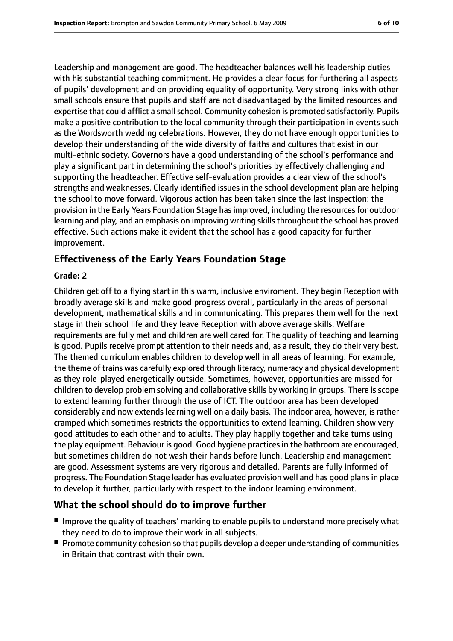Leadership and management are good. The headteacher balances well his leadership duties with his substantial teaching commitment. He provides a clear focus for furthering all aspects of pupils' development and on providing equality of opportunity. Very strong links with other small schools ensure that pupils and staff are not disadvantaged by the limited resources and expertise that could afflict a small school. Community cohesion is promoted satisfactorily. Pupils make a positive contribution to the local community through their participation in events such as the Wordsworth wedding celebrations. However, they do not have enough opportunities to develop their understanding of the wide diversity of faiths and cultures that exist in our multi-ethnic society. Governors have a good understanding of the school's performance and play a significant part in determining the school's priorities by effectively challenging and supporting the headteacher. Effective self-evaluation provides a clear view of the school's strengths and weaknesses. Clearly identified issues in the school development plan are helping the school to move forward. Vigorous action has been taken since the last inspection: the provision in the Early Years Foundation Stage has improved, including the resources for outdoor learning and play, and an emphasis on improving writing skillsthroughout the school has proved effective. Such actions make it evident that the school has a good capacity for further improvement.

### **Effectiveness of the Early Years Foundation Stage**

#### **Grade: 2**

Children get off to a flying start in this warm, inclusive enviroment. They begin Reception with broadly average skills and make good progress overall, particularly in the areas of personal development, mathematical skills and in communicating. This prepares them well for the next stage in their school life and they leave Reception with above average skills. Welfare requirements are fully met and children are well cared for. The quality of teaching and learning is good. Pupils receive prompt attention to their needs and, as a result, they do their very best. The themed curriculum enables children to develop well in all areas of learning. For example, the theme of trains was carefully explored through literacy, numeracy and physical development as they role-played energetically outside. Sometimes, however, opportunities are missed for children to develop problem solving and collaborative skills by working in groups. There is scope to extend learning further through the use of ICT. The outdoor area has been developed considerably and now extends learning well on a daily basis. The indoor area, however, is rather cramped which sometimes restricts the opportunities to extend learning. Children show very good attitudes to each other and to adults. They play happily together and take turns using the play equipment. Behaviour is good. Good hygiene practices in the bathroom are encouraged, but sometimes children do not wash their hands before lunch. Leadership and management are good. Assessment systems are very rigorous and detailed. Parents are fully informed of progress. The Foundation Stage leader has evaluated provision well and has good plansin place to develop it further, particularly with respect to the indoor learning environment.

#### **What the school should do to improve further**

- Improve the quality of teachers' marking to enable pupils to understand more precisely what they need to do to improve their work in all subjects.
- Promote community cohesion so that pupils develop a deeper understanding of communities in Britain that contrast with their own.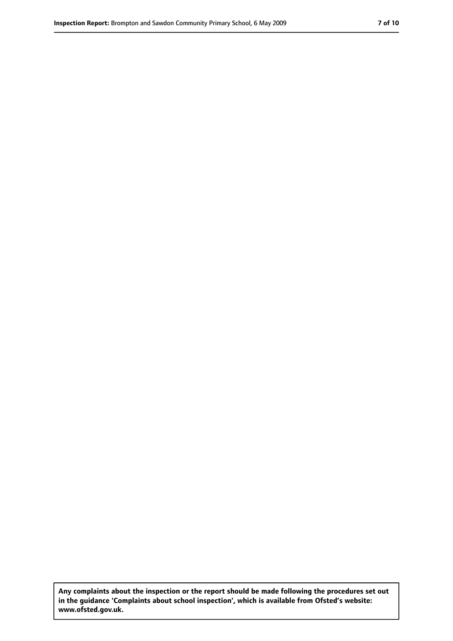**Any complaints about the inspection or the report should be made following the procedures set out in the guidance 'Complaints about school inspection', which is available from Ofsted's website: www.ofsted.gov.uk.**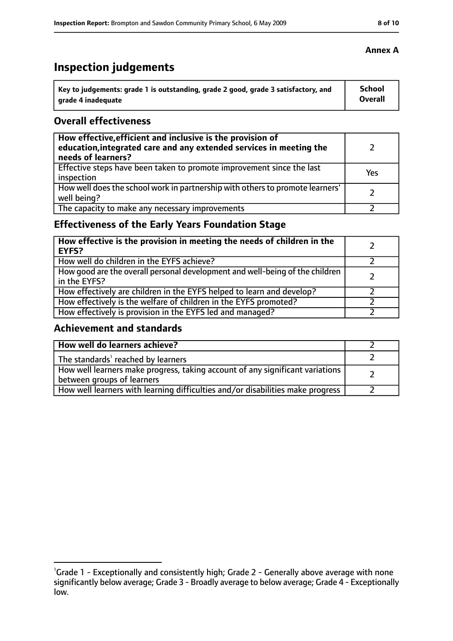# **Inspection judgements**

| Key to judgements: grade 1 is outstanding, grade 2 good, grade 3 satisfactory, and | <b>School</b>  |
|------------------------------------------------------------------------------------|----------------|
| arade 4 inadequate                                                                 | <b>Overall</b> |

### **Overall effectiveness**

| How effective, efficient and inclusive is the provision of<br>education, integrated care and any extended services in meeting the<br>needs of learners? |     |
|---------------------------------------------------------------------------------------------------------------------------------------------------------|-----|
| Effective steps have been taken to promote improvement since the last<br>inspection                                                                     | Yes |
| How well does the school work in partnership with others to promote learners'<br>well being?                                                            |     |
| The capacity to make any necessary improvements                                                                                                         |     |

### **Effectiveness of the Early Years Foundation Stage**

| How effective is the provision in meeting the needs of children in the<br><b>EYFS?</b>       |  |
|----------------------------------------------------------------------------------------------|--|
| How well do children in the EYFS achieve?                                                    |  |
| How good are the overall personal development and well-being of the children<br>in the EYFS? |  |
| How effectively are children in the EYFS helped to learn and develop?                        |  |
| How effectively is the welfare of children in the EYFS promoted?                             |  |
| How effectively is provision in the EYFS led and managed?                                    |  |

### **Achievement and standards**

| How well do learners achieve?                                                                               |  |
|-------------------------------------------------------------------------------------------------------------|--|
| The standards <sup>1</sup> reached by learners                                                              |  |
| How well learners make progress, taking account of any significant variations<br>between groups of learners |  |
| How well learners with learning difficulties and/or disabilities make progress                              |  |

<sup>&</sup>lt;sup>1</sup>Grade 1 - Exceptionally and consistently high; Grade 2 - Generally above average with none significantly below average; Grade 3 - Broadly average to below average; Grade 4 - Exceptionally low.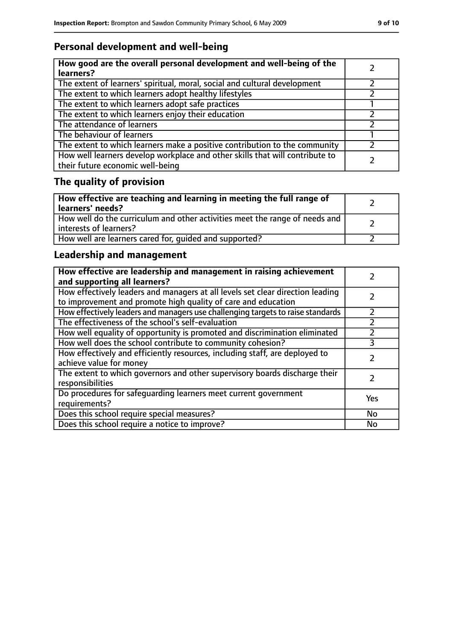### **Personal development and well-being**

| How good are the overall personal development and well-being of the<br>learners?                                 |  |
|------------------------------------------------------------------------------------------------------------------|--|
| The extent of learners' spiritual, moral, social and cultural development                                        |  |
| The extent to which learners adopt healthy lifestyles                                                            |  |
| The extent to which learners adopt safe practices                                                                |  |
| The extent to which learners enjoy their education                                                               |  |
| The attendance of learners                                                                                       |  |
| The behaviour of learners                                                                                        |  |
| The extent to which learners make a positive contribution to the community                                       |  |
| How well learners develop workplace and other skills that will contribute to<br>their future economic well-being |  |

# **The quality of provision**

| How effective are teaching and learning in meeting the full range of<br>learners' needs?              |  |
|-------------------------------------------------------------------------------------------------------|--|
| How well do the curriculum and other activities meet the range of needs and<br>interests of learners? |  |
| How well are learners cared for, quided and supported?                                                |  |

### **Leadership and management**

| How effective are leadership and management in raising achievement<br>and supporting all learners?                                              |     |
|-------------------------------------------------------------------------------------------------------------------------------------------------|-----|
| How effectively leaders and managers at all levels set clear direction leading<br>to improvement and promote high quality of care and education |     |
| How effectively leaders and managers use challenging targets to raise standards                                                                 |     |
| The effectiveness of the school's self-evaluation                                                                                               |     |
| How well equality of opportunity is promoted and discrimination eliminated                                                                      |     |
| How well does the school contribute to community cohesion?                                                                                      | 3   |
| How effectively and efficiently resources, including staff, are deployed to<br>achieve value for money                                          |     |
| The extent to which governors and other supervisory boards discharge their<br>responsibilities                                                  |     |
| Do procedures for safequarding learners meet current government<br>requirements?                                                                | Yes |
| Does this school require special measures?                                                                                                      | No  |
| Does this school require a notice to improve?                                                                                                   | No  |